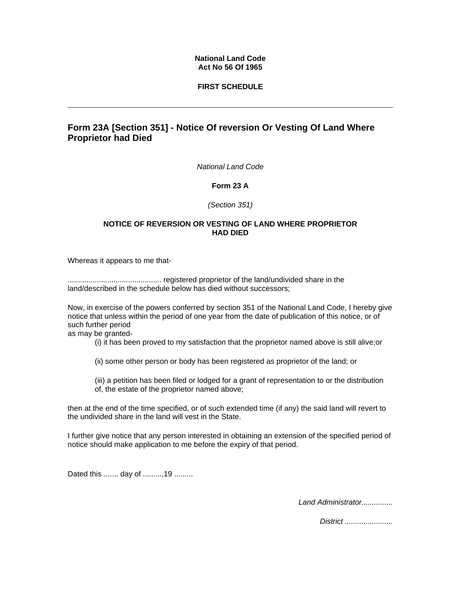### **National Land Code Act No 56 Of 1965**

## **FIRST SCHEDULE**

# **Form 23A [Section 351] - Notice Of reversion Or Vesting Of Land Where Proprietor had Died**

*National Land Code* 

**Form 23 A**

*(Section 351)*

#### **NOTICE OF REVERSION OR VESTING OF LAND WHERE PROPRIETOR HAD DIED**

Whereas it appears to me that-

............................................. registered proprietor of the land/undivided share in the land/described in the schedule below has died without successors;

Now, in exercise of the powers conferred by section 351 of the National Land Code, I hereby give notice that unless within the period of one year from the date of publication of this notice, or of such further period

as may be granted-

(i) it has been proved to my satisfaction that the proprietor named above is still alive;or

(ii) some other person or body has been registered as proprietor of the land; or

(iii) a petition has been filed or lodged for a grant of representation to or the distribution of, the estate of the proprietor named above;

then at the end of the time specified, or of such extended time (if any) the said land will revert to the undivided share in the land will vest in the State.

I further give notice that any person interested in obtaining an extension of the specified period of notice should make application to me before the expiry of that period.

Dated this ....... day of .........,19 .........

*Land Administrator...............* 

*District .......................*